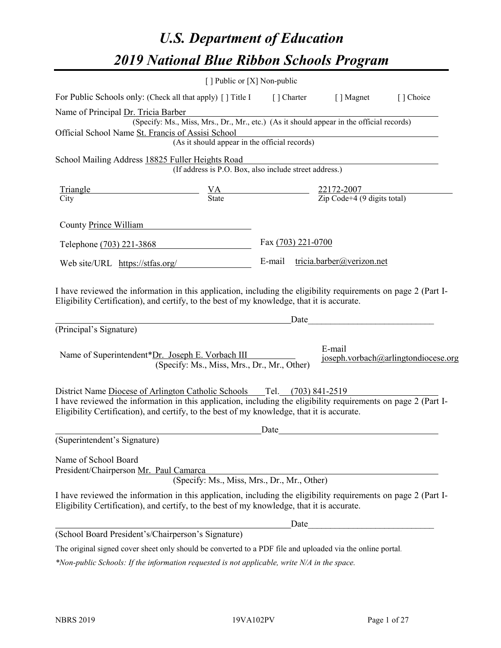# *U.S. Department of Education 2019 National Blue Ribbon Schools Program*

|                                                                                                                                                                                                                                                                                             | [] Public or [X] Non-public                                                                                  |                    |        |                                     |
|---------------------------------------------------------------------------------------------------------------------------------------------------------------------------------------------------------------------------------------------------------------------------------------------|--------------------------------------------------------------------------------------------------------------|--------------------|--------|-------------------------------------|
| For Public Schools only: (Check all that apply) [] Title I [] Charter [] Magnet                                                                                                                                                                                                             |                                                                                                              |                    |        | [] Choice                           |
| Name of Principal Dr. Tricia Barber                                                                                                                                                                                                                                                         | r. Tricia Barber<br>(Specify: Ms., Miss, Mrs., Dr., Mr., etc.) (As it should appear in the official records) |                    |        |                                     |
|                                                                                                                                                                                                                                                                                             |                                                                                                              |                    |        |                                     |
| Official School Name St. Francis of Assisi School                                                                                                                                                                                                                                           | Solution School<br>Solution School<br>(As it should appear in the official records)                          |                    |        |                                     |
| School Mailing Address 18825 Fuller Heights Road                                                                                                                                                                                                                                            |                                                                                                              |                    |        |                                     |
|                                                                                                                                                                                                                                                                                             | ruiter Heights Koad<br>(If address is P.O. Box, also include street address.)                                |                    |        |                                     |
| $\frac{\text{Triangle}}{\text{City}}$ $\frac{VA}{\text{State}}$ $\frac{22172-2007}{\text{Zip Code}+4 (9 \text{ digits total})}$                                                                                                                                                             |                                                                                                              |                    |        |                                     |
|                                                                                                                                                                                                                                                                                             |                                                                                                              |                    |        |                                     |
| County Prince William                                                                                                                                                                                                                                                                       |                                                                                                              |                    |        |                                     |
| Telephone (703) 221-3868                                                                                                                                                                                                                                                                    |                                                                                                              | Fax (703) 221-0700 |        |                                     |
| Web site/URL https://stfas.org/ E-mail tricia.barber@verizon.net                                                                                                                                                                                                                            |                                                                                                              |                    |        |                                     |
| (Principal's Signature)                                                                                                                                                                                                                                                                     | <u>Date</u> <u>Date</u>                                                                                      |                    |        |                                     |
| Name of Superintendent*Dr. Joseph E. Vorbach III                                                                                                                                                                                                                                            | (Specify: Ms., Miss, Mrs., Dr., Mr., Other)                                                                  |                    | E-mail | joseph.vorbach@arlingtondiocese.org |
| District Name Diocese of Arlington Catholic Schools ___ Tel. (703) 841-2519<br>I have reviewed the information in this application, including the eligibility requirements on page 2 (Part I-<br>Eligibility Certification), and certify, to the best of my knowledge, that it is accurate. |                                                                                                              | Date               |        |                                     |
| (Superintendent's Signature)                                                                                                                                                                                                                                                                |                                                                                                              |                    |        |                                     |
| Name of School Board<br>President/Chairperson Mr. Paul Camarca                                                                                                                                                                                                                              | (Specify: Ms., Miss, Mrs., Dr., Mr., Other)                                                                  |                    |        |                                     |
| I have reviewed the information in this application, including the eligibility requirements on page 2 (Part I-<br>Eligibility Certification), and certify, to the best of my knowledge, that it is accurate.                                                                                |                                                                                                              |                    |        |                                     |
|                                                                                                                                                                                                                                                                                             |                                                                                                              | Date               |        |                                     |
| (School Board President's/Chairperson's Signature)                                                                                                                                                                                                                                          |                                                                                                              |                    |        |                                     |
| The original signed cover sheet only should be converted to a PDF file and uploaded via the online portal.                                                                                                                                                                                  |                                                                                                              |                    |        |                                     |

*\*Non-public Schools: If the information requested is not applicable, write N/A in the space.*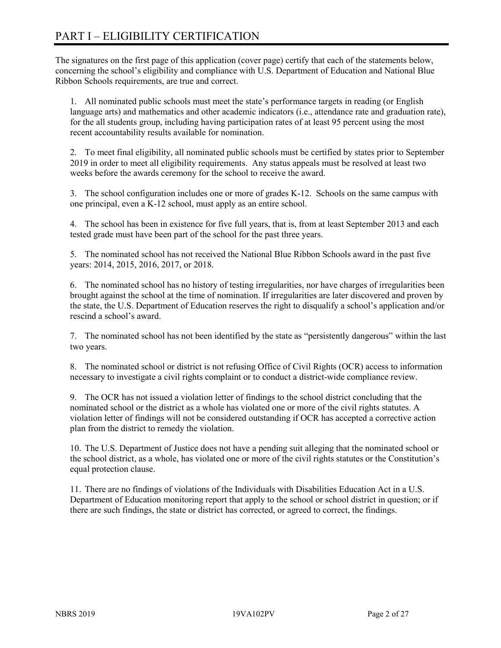# PART I – ELIGIBILITY CERTIFICATION

The signatures on the first page of this application (cover page) certify that each of the statements below, concerning the school's eligibility and compliance with U.S. Department of Education and National Blue Ribbon Schools requirements, are true and correct.

1. All nominated public schools must meet the state's performance targets in reading (or English language arts) and mathematics and other academic indicators (i.e., attendance rate and graduation rate), for the all students group, including having participation rates of at least 95 percent using the most recent accountability results available for nomination.

2. To meet final eligibility, all nominated public schools must be certified by states prior to September 2019 in order to meet all eligibility requirements. Any status appeals must be resolved at least two weeks before the awards ceremony for the school to receive the award.

3. The school configuration includes one or more of grades K-12. Schools on the same campus with one principal, even a K-12 school, must apply as an entire school.

4. The school has been in existence for five full years, that is, from at least September 2013 and each tested grade must have been part of the school for the past three years.

5. The nominated school has not received the National Blue Ribbon Schools award in the past five years: 2014, 2015, 2016, 2017, or 2018.

6. The nominated school has no history of testing irregularities, nor have charges of irregularities been brought against the school at the time of nomination. If irregularities are later discovered and proven by the state, the U.S. Department of Education reserves the right to disqualify a school's application and/or rescind a school's award.

7. The nominated school has not been identified by the state as "persistently dangerous" within the last two years.

8. The nominated school or district is not refusing Office of Civil Rights (OCR) access to information necessary to investigate a civil rights complaint or to conduct a district-wide compliance review.

9. The OCR has not issued a violation letter of findings to the school district concluding that the nominated school or the district as a whole has violated one or more of the civil rights statutes. A violation letter of findings will not be considered outstanding if OCR has accepted a corrective action plan from the district to remedy the violation.

10. The U.S. Department of Justice does not have a pending suit alleging that the nominated school or the school district, as a whole, has violated one or more of the civil rights statutes or the Constitution's equal protection clause.

11. There are no findings of violations of the Individuals with Disabilities Education Act in a U.S. Department of Education monitoring report that apply to the school or school district in question; or if there are such findings, the state or district has corrected, or agreed to correct, the findings.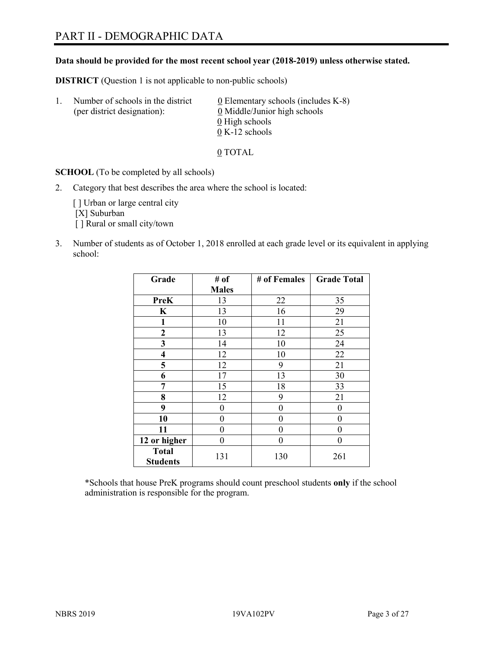# PART II - DEMOGRAPHIC DATA

#### **Data should be provided for the most recent school year (2018-2019) unless otherwise stated.**

**DISTRICT** (Question 1 is not applicable to non-public schools)

| $\mathbf{1}$ . | Number of schools in the district<br>(per district designation): | $\underline{0}$ Elementary schools (includes K-8)<br>0 Middle/Junior high schools |
|----------------|------------------------------------------------------------------|-----------------------------------------------------------------------------------|
|                |                                                                  | 0 High schools                                                                    |
|                |                                                                  | $0 K-12$ schools                                                                  |

0 TOTAL

**SCHOOL** (To be completed by all schools)

2. Category that best describes the area where the school is located:

[] Urban or large central city [X] Suburban [] Rural or small city/town

3. Number of students as of October 1, 2018 enrolled at each grade level or its equivalent in applying school:

| Grade                           | # of         | # of Females | <b>Grade Total</b> |
|---------------------------------|--------------|--------------|--------------------|
|                                 | <b>Males</b> |              |                    |
| <b>PreK</b>                     | 13           | 22           | 35                 |
| K                               | 13           | 16           | 29                 |
| $\mathbf{1}$                    | 10           | 11           | 21                 |
| $\mathbf{2}$                    | 13           | 12           | 25                 |
| 3                               | 14           | 10           | 24                 |
| $\overline{\mathbf{4}}$         | 12           | 10           | 22                 |
| 5                               | 12           | 9            | 21                 |
| 6                               | 17           | 13           | 30                 |
| 7                               | 15           | 18           | 33                 |
| 8                               | 12           | 9            | 21                 |
| 9                               | 0            | 0            | 0                  |
| 10                              | 0            | 0            | 0                  |
| 11                              | 0            | 0            | 0                  |
| 12 or higher                    | 0            | 0            | 0                  |
| <b>Total</b><br><b>Students</b> | 131          | 130          | 261                |

\*Schools that house PreK programs should count preschool students **only** if the school administration is responsible for the program.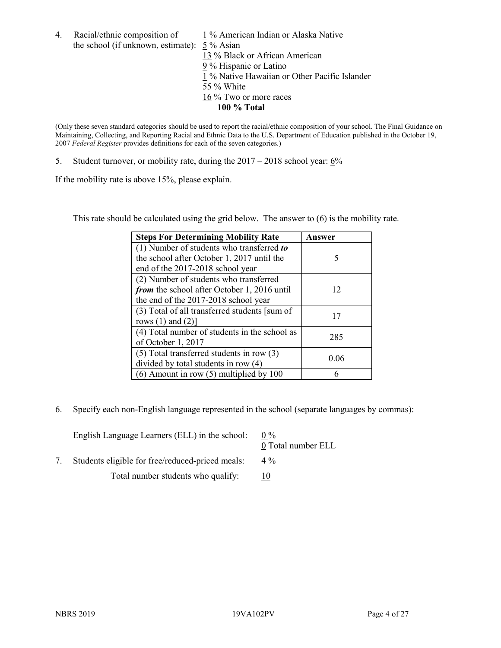4. Racial/ethnic composition of  $1\%$  American Indian or Alaska Native the school (if unknown, estimate): 5 % Asian

13 % Black or African American 9 % Hispanic or Latino  $\frac{1}{1}$ % Native Hawaiian or Other Pacific Islander 55 % White  $\frac{16}{16}$ % Two or more races **100 % Total**

(Only these seven standard categories should be used to report the racial/ethnic composition of your school. The Final Guidance on Maintaining, Collecting, and Reporting Racial and Ethnic Data to the U.S. Department of Education published in the October 19, 2007 *Federal Register* provides definitions for each of the seven categories.)

5. Student turnover, or mobility rate, during the 2017 – 2018 school year: 6%

If the mobility rate is above 15%, please explain.

This rate should be calculated using the grid below. The answer to (6) is the mobility rate.

| <b>Steps For Determining Mobility Rate</b>    | Answer |
|-----------------------------------------------|--------|
| (1) Number of students who transferred to     |        |
| the school after October 1, 2017 until the    | 5      |
| end of the 2017-2018 school year              |        |
| (2) Number of students who transferred        |        |
| from the school after October 1, 2016 until   | 12     |
| the end of the 2017-2018 school year          |        |
| (3) Total of all transferred students [sum of | 17     |
| rows $(1)$ and $(2)$ ]                        |        |
| (4) Total number of students in the school as | 285    |
| of October 1, 2017                            |        |
| $(5)$ Total transferred students in row $(3)$ | 0.06   |
| divided by total students in row (4)          |        |
| $(6)$ Amount in row $(5)$ multiplied by 100   |        |

6. Specify each non-English language represented in the school (separate languages by commas):

| English Language Learners (ELL) in the school:   | $0\%$<br>0 Total number ELL |
|--------------------------------------------------|-----------------------------|
| Students eligible for free/reduced-priced meals: | $4\%$                       |
| Total number students who qualify:               |                             |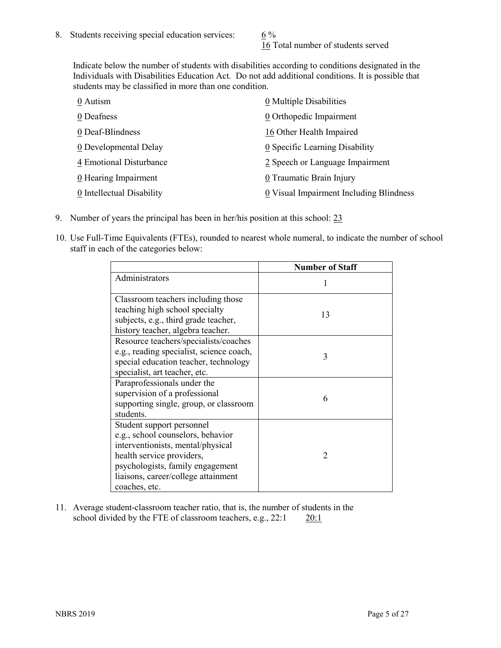16 Total number of students served

Indicate below the number of students with disabilities according to conditions designated in the Individuals with Disabilities Education Act. Do not add additional conditions. It is possible that students may be classified in more than one condition.

| 0 Autism                  | 0 Multiple Disabilities                 |
|---------------------------|-----------------------------------------|
| 0 Deafness                | 0 Orthopedic Impairment                 |
| 0 Deaf-Blindness          | 16 Other Health Impaired                |
| 0 Developmental Delay     | 0 Specific Learning Disability          |
| 4 Emotional Disturbance   | 2 Speech or Language Impairment         |
| 0 Hearing Impairment      | 0 Traumatic Brain Injury                |
| 0 Intellectual Disability | 0 Visual Impairment Including Blindness |

- 9. Number of years the principal has been in her/his position at this school: 23
- 10. Use Full-Time Equivalents (FTEs), rounded to nearest whole numeral, to indicate the number of school staff in each of the categories below:

|                                                                                                                                                                                                                              | <b>Number of Staff</b>   |
|------------------------------------------------------------------------------------------------------------------------------------------------------------------------------------------------------------------------------|--------------------------|
| Administrators                                                                                                                                                                                                               |                          |
| Classroom teachers including those<br>teaching high school specialty<br>subjects, e.g., third grade teacher,<br>history teacher, algebra teacher.                                                                            | 13                       |
| Resource teachers/specialists/coaches<br>e.g., reading specialist, science coach,<br>special education teacher, technology<br>specialist, art teacher, etc.                                                                  | 3                        |
| Paraprofessionals under the<br>supervision of a professional<br>supporting single, group, or classroom<br>students.                                                                                                          | 6                        |
| Student support personnel<br>e.g., school counselors, behavior<br>interventionists, mental/physical<br>health service providers,<br>psychologists, family engagement<br>liaisons, career/college attainment<br>coaches, etc. | $\mathfrak{D}_{1}^{(1)}$ |

11. Average student-classroom teacher ratio, that is, the number of students in the school divided by the FTE of classroom teachers, e.g., 22:1 20:1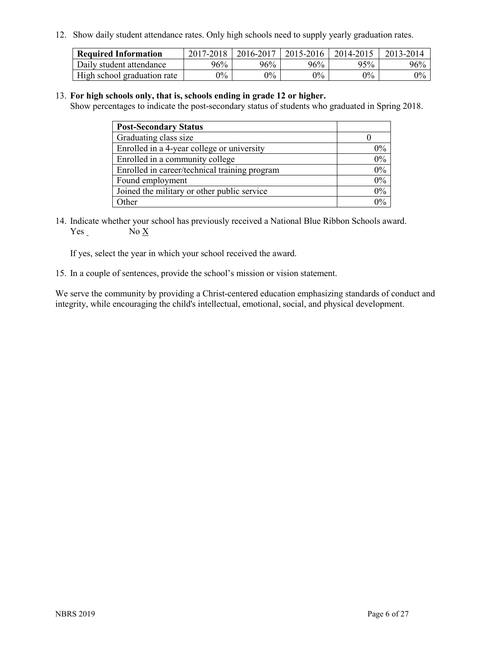12. Show daily student attendance rates. Only high schools need to supply yearly graduation rates.

| <b>Required Information</b> | 2017-2018 | 2016-2017 | 2015-2016 | 2014-2015 | 2013-2014 |
|-----------------------------|-----------|-----------|-----------|-----------|-----------|
| Daily student attendance    | 96%       | 96%       | 96%       | 95%       | 96%       |
| High school graduation rate | $0\%$     | $0\%$     | $0\%$     | $9\%$     | $0\%$     |

#### 13. **For high schools only, that is, schools ending in grade 12 or higher.**

Show percentages to indicate the post-secondary status of students who graduated in Spring 2018.

| <b>Post-Secondary Status</b>                  |           |
|-----------------------------------------------|-----------|
| Graduating class size                         |           |
| Enrolled in a 4-year college or university    | $0\%$     |
| Enrolled in a community college               | 0%        |
| Enrolled in career/technical training program | $0\%$     |
| Found employment                              | 0%        |
| Joined the military or other public service   | 0%        |
| Other                                         | በዓ $\sim$ |

14. Indicate whether your school has previously received a National Blue Ribbon Schools award. Yes No X

If yes, select the year in which your school received the award.

15. In a couple of sentences, provide the school's mission or vision statement.

We serve the community by providing a Christ-centered education emphasizing standards of conduct and integrity, while encouraging the child's intellectual, emotional, social, and physical development.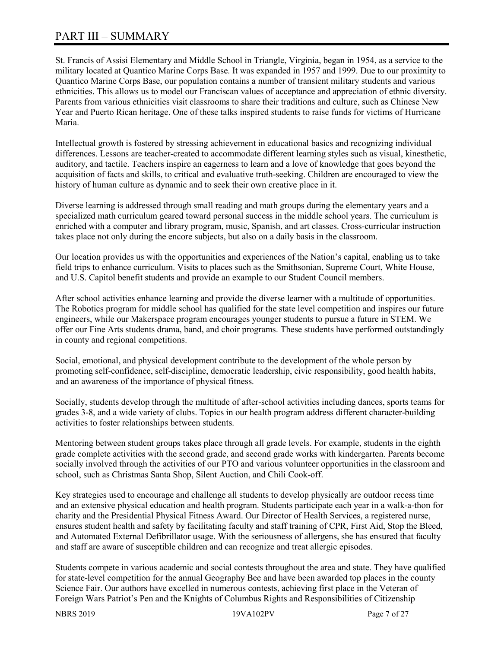# PART III – SUMMARY

St. Francis of Assisi Elementary and Middle School in Triangle, Virginia, began in 1954, as a service to the military located at Quantico Marine Corps Base. It was expanded in 1957 and 1999. Due to our proximity to Quantico Marine Corps Base, our population contains a number of transient military students and various ethnicities. This allows us to model our Franciscan values of acceptance and appreciation of ethnic diversity. Parents from various ethnicities visit classrooms to share their traditions and culture, such as Chinese New Year and Puerto Rican heritage. One of these talks inspired students to raise funds for victims of Hurricane Maria.

Intellectual growth is fostered by stressing achievement in educational basics and recognizing individual differences. Lessons are teacher-created to accommodate different learning styles such as visual, kinesthetic, auditory, and tactile. Teachers inspire an eagerness to learn and a love of knowledge that goes beyond the acquisition of facts and skills, to critical and evaluative truth-seeking. Children are encouraged to view the history of human culture as dynamic and to seek their own creative place in it.

Diverse learning is addressed through small reading and math groups during the elementary years and a specialized math curriculum geared toward personal success in the middle school years. The curriculum is enriched with a computer and library program, music, Spanish, and art classes. Cross-curricular instruction takes place not only during the encore subjects, but also on a daily basis in the classroom.

Our location provides us with the opportunities and experiences of the Nation's capital, enabling us to take field trips to enhance curriculum. Visits to places such as the Smithsonian, Supreme Court, White House, and U.S. Capitol benefit students and provide an example to our Student Council members.

After school activities enhance learning and provide the diverse learner with a multitude of opportunities. The Robotics program for middle school has qualified for the state level competition and inspires our future engineers, while our Makerspace program encourages younger students to pursue a future in STEM. We offer our Fine Arts students drama, band, and choir programs. These students have performed outstandingly in county and regional competitions.

Social, emotional, and physical development contribute to the development of the whole person by promoting self-confidence, self-discipline, democratic leadership, civic responsibility, good health habits, and an awareness of the importance of physical fitness.

Socially, students develop through the multitude of after-school activities including dances, sports teams for grades 3-8, and a wide variety of clubs. Topics in our health program address different character-building activities to foster relationships between students.

Mentoring between student groups takes place through all grade levels. For example, students in the eighth grade complete activities with the second grade, and second grade works with kindergarten. Parents become socially involved through the activities of our PTO and various volunteer opportunities in the classroom and school, such as Christmas Santa Shop, Silent Auction, and Chili Cook-off.

Key strategies used to encourage and challenge all students to develop physically are outdoor recess time and an extensive physical education and health program. Students participate each year in a walk-a-thon for charity and the Presidential Physical Fitness Award. Our Director of Health Services, a registered nurse, ensures student health and safety by facilitating faculty and staff training of CPR, First Aid, Stop the Bleed, and Automated External Defibrillator usage. With the seriousness of allergens, she has ensured that faculty and staff are aware of susceptible children and can recognize and treat allergic episodes.

Students compete in various academic and social contests throughout the area and state. They have qualified for state-level competition for the annual Geography Bee and have been awarded top places in the county Science Fair. Our authors have excelled in numerous contests, achieving first place in the Veteran of Foreign Wars Patriot's Pen and the Knights of Columbus Rights and Responsibilities of Citizenship

NBRS 2019 19VA102PV Page 7 of 27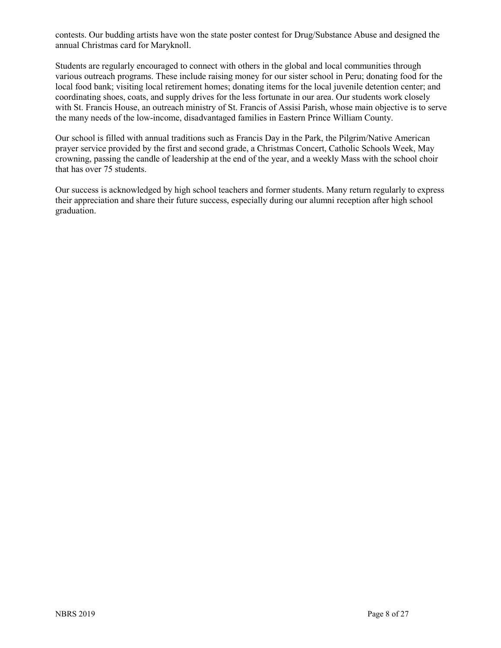contests. Our budding artists have won the state poster contest for Drug/Substance Abuse and designed the annual Christmas card for Maryknoll.

Students are regularly encouraged to connect with others in the global and local communities through various outreach programs. These include raising money for our sister school in Peru; donating food for the local food bank; visiting local retirement homes; donating items for the local juvenile detention center; and coordinating shoes, coats, and supply drives for the less fortunate in our area. Our students work closely with St. Francis House, an outreach ministry of St. Francis of Assisi Parish, whose main objective is to serve the many needs of the low-income, disadvantaged families in Eastern Prince William County.

Our school is filled with annual traditions such as Francis Day in the Park, the Pilgrim/Native American prayer service provided by the first and second grade, a Christmas Concert, Catholic Schools Week, May crowning, passing the candle of leadership at the end of the year, and a weekly Mass with the school choir that has over 75 students.

Our success is acknowledged by high school teachers and former students. Many return regularly to express their appreciation and share their future success, especially during our alumni reception after high school graduation.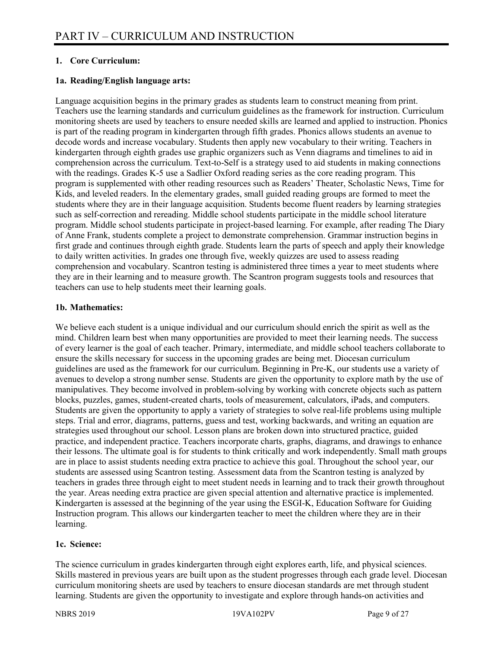#### **1. Core Curriculum:**

#### **1a. Reading/English language arts:**

Language acquisition begins in the primary grades as students learn to construct meaning from print. Teachers use the learning standards and curriculum guidelines as the framework for instruction. Curriculum monitoring sheets are used by teachers to ensure needed skills are learned and applied to instruction. Phonics is part of the reading program in kindergarten through fifth grades. Phonics allows students an avenue to decode words and increase vocabulary. Students then apply new vocabulary to their writing. Teachers in kindergarten through eighth grades use graphic organizers such as Venn diagrams and timelines to aid in comprehension across the curriculum. Text-to-Self is a strategy used to aid students in making connections with the readings. Grades K-5 use a Sadlier Oxford reading series as the core reading program. This program is supplemented with other reading resources such as Readers' Theater, Scholastic News, Time for Kids, and leveled readers. In the elementary grades, small guided reading groups are formed to meet the students where they are in their language acquisition. Students become fluent readers by learning strategies such as self-correction and rereading. Middle school students participate in the middle school literature program. Middle school students participate in project-based learning. For example, after reading The Diary of Anne Frank, students complete a project to demonstrate comprehension. Grammar instruction begins in first grade and continues through eighth grade. Students learn the parts of speech and apply their knowledge to daily written activities. In grades one through five, weekly quizzes are used to assess reading comprehension and vocabulary. Scantron testing is administered three times a year to meet students where they are in their learning and to measure growth. The Scantron program suggests tools and resources that teachers can use to help students meet their learning goals.

#### **1b. Mathematics:**

We believe each student is a unique individual and our curriculum should enrich the spirit as well as the mind. Children learn best when many opportunities are provided to meet their learning needs. The success of every learner is the goal of each teacher. Primary, intermediate, and middle school teachers collaborate to ensure the skills necessary for success in the upcoming grades are being met. Diocesan curriculum guidelines are used as the framework for our curriculum. Beginning in Pre-K, our students use a variety of avenues to develop a strong number sense. Students are given the opportunity to explore math by the use of manipulatives. They become involved in problem-solving by working with concrete objects such as pattern blocks, puzzles, games, student-created charts, tools of measurement, calculators, iPads, and computers. Students are given the opportunity to apply a variety of strategies to solve real-life problems using multiple steps. Trial and error, diagrams, patterns, guess and test, working backwards, and writing an equation are strategies used throughout our school. Lesson plans are broken down into structured practice, guided practice, and independent practice. Teachers incorporate charts, graphs, diagrams, and drawings to enhance their lessons. The ultimate goal is for students to think critically and work independently. Small math groups are in place to assist students needing extra practice to achieve this goal. Throughout the school year, our students are assessed using Scantron testing. Assessment data from the Scantron testing is analyzed by teachers in grades three through eight to meet student needs in learning and to track their growth throughout the year. Areas needing extra practice are given special attention and alternative practice is implemented. Kindergarten is assessed at the beginning of the year using the ESGI-K, Education Software for Guiding Instruction program. This allows our kindergarten teacher to meet the children where they are in their learning.

#### **1c. Science:**

The science curriculum in grades kindergarten through eight explores earth, life, and physical sciences. Skills mastered in previous years are built upon as the student progresses through each grade level. Diocesan curriculum monitoring sheets are used by teachers to ensure diocesan standards are met through student learning. Students are given the opportunity to investigate and explore through hands-on activities and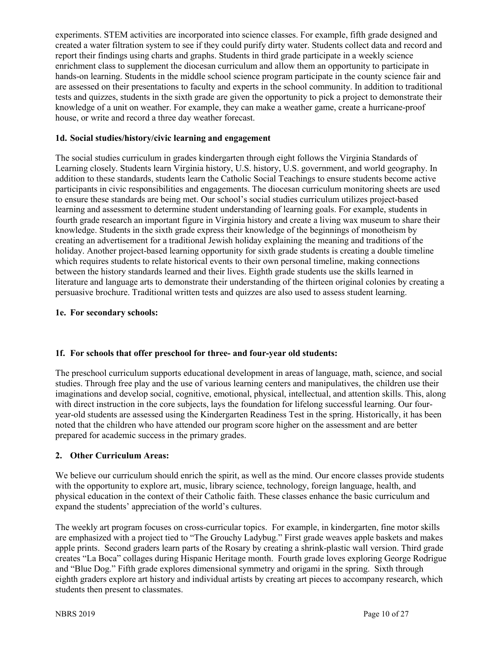experiments. STEM activities are incorporated into science classes. For example, fifth grade designed and created a water filtration system to see if they could purify dirty water. Students collect data and record and report their findings using charts and graphs. Students in third grade participate in a weekly science enrichment class to supplement the diocesan curriculum and allow them an opportunity to participate in hands-on learning. Students in the middle school science program participate in the county science fair and are assessed on their presentations to faculty and experts in the school community. In addition to traditional tests and quizzes, students in the sixth grade are given the opportunity to pick a project to demonstrate their knowledge of a unit on weather. For example, they can make a weather game, create a hurricane-proof house, or write and record a three day weather forecast.

#### **1d. Social studies/history/civic learning and engagement**

The social studies curriculum in grades kindergarten through eight follows the Virginia Standards of Learning closely. Students learn Virginia history, U.S. history, U.S. government, and world geography. In addition to these standards, students learn the Catholic Social Teachings to ensure students become active participants in civic responsibilities and engagements. The diocesan curriculum monitoring sheets are used to ensure these standards are being met. Our school's social studies curriculum utilizes project-based learning and assessment to determine student understanding of learning goals. For example, students in fourth grade research an important figure in Virginia history and create a living wax museum to share their knowledge. Students in the sixth grade express their knowledge of the beginnings of monotheism by creating an advertisement for a traditional Jewish holiday explaining the meaning and traditions of the holiday. Another project-based learning opportunity for sixth grade students is creating a double timeline which requires students to relate historical events to their own personal timeline, making connections between the history standards learned and their lives. Eighth grade students use the skills learned in literature and language arts to demonstrate their understanding of the thirteen original colonies by creating a persuasive brochure. Traditional written tests and quizzes are also used to assess student learning.

#### **1e. For secondary schools:**

#### **1f. For schools that offer preschool for three- and four-year old students:**

The preschool curriculum supports educational development in areas of language, math, science, and social studies. Through free play and the use of various learning centers and manipulatives, the children use their imaginations and develop social, cognitive, emotional, physical, intellectual, and attention skills. This, along with direct instruction in the core subjects, lays the foundation for lifelong successful learning. Our fouryear-old students are assessed using the Kindergarten Readiness Test in the spring. Historically, it has been noted that the children who have attended our program score higher on the assessment and are better prepared for academic success in the primary grades.

#### **2. Other Curriculum Areas:**

We believe our curriculum should enrich the spirit, as well as the mind. Our encore classes provide students with the opportunity to explore art, music, library science, technology, foreign language, health, and physical education in the context of their Catholic faith. These classes enhance the basic curriculum and expand the students' appreciation of the world's cultures.

The weekly art program focuses on cross-curricular topics. For example, in kindergarten, fine motor skills are emphasized with a project tied to "The Grouchy Ladybug." First grade weaves apple baskets and makes apple prints. Second graders learn parts of the Rosary by creating a shrink-plastic wall version. Third grade creates "La Boca" collages during Hispanic Heritage month. Fourth grade loves exploring George Rodrigue and "Blue Dog." Fifth grade explores dimensional symmetry and origami in the spring. Sixth through eighth graders explore art history and individual artists by creating art pieces to accompany research, which students then present to classmates.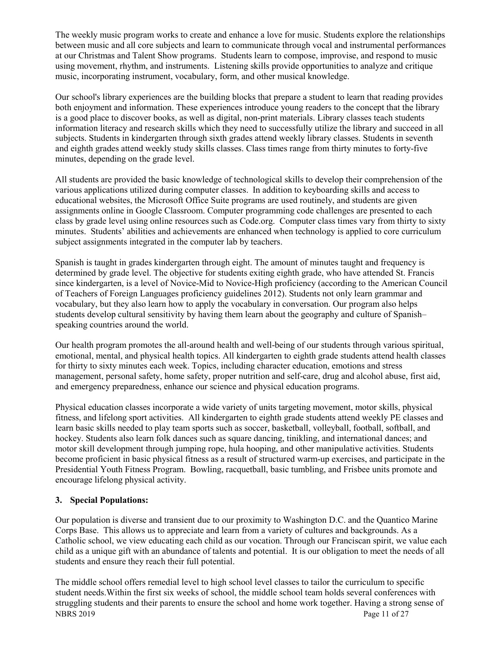The weekly music program works to create and enhance a love for music. Students explore the relationships between music and all core subjects and learn to communicate through vocal and instrumental performances at our Christmas and Talent Show programs. Students learn to compose, improvise, and respond to music using movement, rhythm, and instruments. Listening skills provide opportunities to analyze and critique music, incorporating instrument, vocabulary, form, and other musical knowledge.

Our school's library experiences are the building blocks that prepare a student to learn that reading provides both enjoyment and information. These experiences introduce young readers to the concept that the library is a good place to discover books, as well as digital, non-print materials. Library classes teach students information literacy and research skills which they need to successfully utilize the library and succeed in all subjects. Students in kindergarten through sixth grades attend weekly library classes. Students in seventh and eighth grades attend weekly study skills classes. Class times range from thirty minutes to forty-five minutes, depending on the grade level.

All students are provided the basic knowledge of technological skills to develop their comprehension of the various applications utilized during computer classes. In addition to keyboarding skills and access to educational websites, the Microsoft Office Suite programs are used routinely, and students are given assignments online in Google Classroom. Computer programming code challenges are presented to each class by grade level using online resources such as Code.org. Computer class times vary from thirty to sixty minutes. Students' abilities and achievements are enhanced when technology is applied to core curriculum subject assignments integrated in the computer lab by teachers.

Spanish is taught in grades kindergarten through eight. The amount of minutes taught and frequency is determined by grade level. The objective for students exiting eighth grade, who have attended St. Francis since kindergarten, is a level of Novice-Mid to Novice-High proficiency (according to the American Council of Teachers of Foreign Languages proficiency guidelines 2012). Students not only learn grammar and vocabulary, but they also learn how to apply the vocabulary in conversation. Our program also helps students develop cultural sensitivity by having them learn about the geography and culture of Spanish– speaking countries around the world.

Our health program promotes the all-around health and well-being of our students through various spiritual, emotional, mental, and physical health topics. All kindergarten to eighth grade students attend health classes for thirty to sixty minutes each week. Topics, including character education, emotions and stress management, personal safety, home safety, proper nutrition and self-care, drug and alcohol abuse, first aid, and emergency preparedness, enhance our science and physical education programs.

Physical education classes incorporate a wide variety of units targeting movement, motor skills, physical fitness, and lifelong sport activities. All kindergarten to eighth grade students attend weekly PE classes and learn basic skills needed to play team sports such as soccer, basketball, volleyball, football, softball, and hockey. Students also learn folk dances such as square dancing, tinikling, and international dances; and motor skill development through jumping rope, hula hooping, and other manipulative activities. Students become proficient in basic physical fitness as a result of structured warm-up exercises, and participate in the Presidential Youth Fitness Program. Bowling, racquetball, basic tumbling, and Frisbee units promote and encourage lifelong physical activity.

#### **3. Special Populations:**

Our population is diverse and transient due to our proximity to Washington D.C. and the Quantico Marine Corps Base. This allows us to appreciate and learn from a variety of cultures and backgrounds. As a Catholic school, we view educating each child as our vocation. Through our Franciscan spirit, we value each child as a unique gift with an abundance of talents and potential. It is our obligation to meet the needs of all students and ensure they reach their full potential.

NBRS 2019 Page 11 of 27 The middle school offers remedial level to high school level classes to tailor the curriculum to specific student needs.Within the first six weeks of school, the middle school team holds several conferences with struggling students and their parents to ensure the school and home work together. Having a strong sense of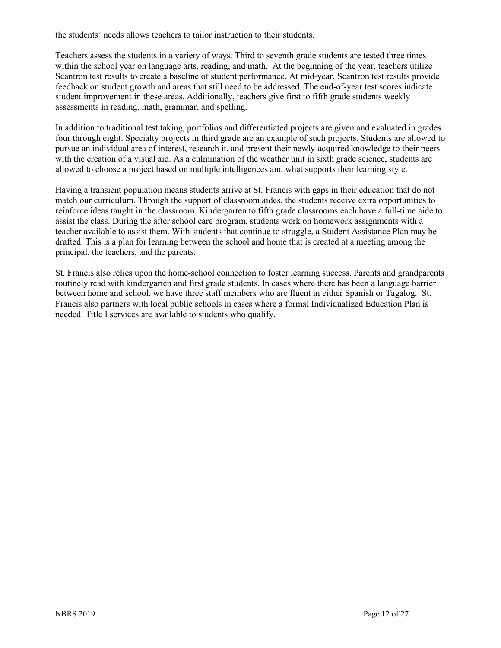the students' needs allows teachers to tailor instruction to their students.

Teachers assess the students in a variety of ways. Third to seventh grade students are tested three times within the school year on language arts, reading, and math. At the beginning of the year, teachers utilize Scantron test results to create a baseline of student performance. At mid-year, Scantron test results provide feedback on student growth and areas that still need to be addressed. The end-of-year test scores indicate student improvement in these areas. Additionally, teachers give first to fifth grade students weekly assessments in reading, math, grammar, and spelling.

In addition to traditional test taking, portfolios and differentiated projects are given and evaluated in grades four through eight. Specialty projects in third grade are an example of such projects. Students are allowed to pursue an individual area of interest, research it, and present their newly-acquired knowledge to their peers with the creation of a visual aid. As a culmination of the weather unit in sixth grade science, students are allowed to choose a project based on multiple intelligences and what supports their learning style.

Having a transient population means students arrive at St. Francis with gaps in their education that do not match our curriculum. Through the support of classroom aides, the students receive extra opportunities to reinforce ideas taught in the classroom. Kindergarten to fifth grade classrooms each have a full-time aide to assist the class. During the after school care program, students work on homework assignments with a teacher available to assist them. With students that continue to struggle, a Student Assistance Plan may be drafted. This is a plan for learning between the school and home that is created at a meeting among the principal, the teachers, and the parents.

St. Francis also relies upon the home-school connection to foster learning success. Parents and grandparents routinely read with kindergarten and first grade students. In cases where there has been a language barrier between home and school, we have three staff members who are fluent in either Spanish or Tagalog. St. Francis also partners with local public schools in cases where a formal Individualized Education Plan is needed. Title I services are available to students who qualify.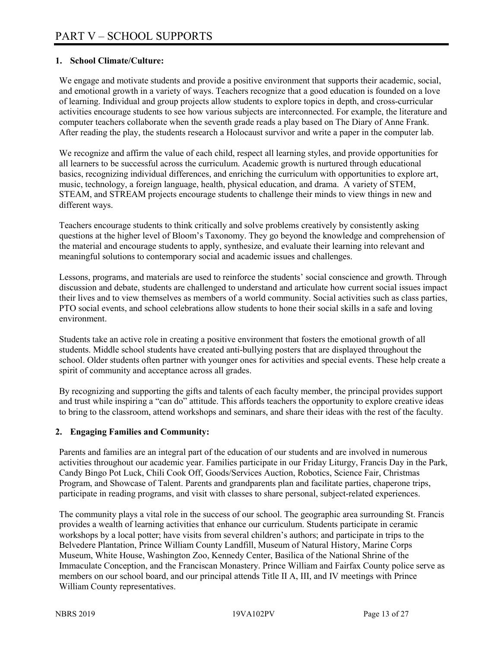#### **1. School Climate/Culture:**

We engage and motivate students and provide a positive environment that supports their academic, social, and emotional growth in a variety of ways. Teachers recognize that a good education is founded on a love of learning. Individual and group projects allow students to explore topics in depth, and cross-curricular activities encourage students to see how various subjects are interconnected. For example, the literature and computer teachers collaborate when the seventh grade reads a play based on The Diary of Anne Frank. After reading the play, the students research a Holocaust survivor and write a paper in the computer lab.

We recognize and affirm the value of each child, respect all learning styles, and provide opportunities for all learners to be successful across the curriculum. Academic growth is nurtured through educational basics, recognizing individual differences, and enriching the curriculum with opportunities to explore art, music, technology, a foreign language, health, physical education, and drama. A variety of STEM, STEAM, and STREAM projects encourage students to challenge their minds to view things in new and different ways.

Teachers encourage students to think critically and solve problems creatively by consistently asking questions at the higher level of Bloom's Taxonomy. They go beyond the knowledge and comprehension of the material and encourage students to apply, synthesize, and evaluate their learning into relevant and meaningful solutions to contemporary social and academic issues and challenges.

Lessons, programs, and materials are used to reinforce the students' social conscience and growth. Through discussion and debate, students are challenged to understand and articulate how current social issues impact their lives and to view themselves as members of a world community. Social activities such as class parties, PTO social events, and school celebrations allow students to hone their social skills in a safe and loving environment.

Students take an active role in creating a positive environment that fosters the emotional growth of all students. Middle school students have created anti-bullying posters that are displayed throughout the school. Older students often partner with younger ones for activities and special events. These help create a spirit of community and acceptance across all grades.

By recognizing and supporting the gifts and talents of each faculty member, the principal provides support and trust while inspiring a "can do" attitude. This affords teachers the opportunity to explore creative ideas to bring to the classroom, attend workshops and seminars, and share their ideas with the rest of the faculty.

#### **2. Engaging Families and Community:**

Parents and families are an integral part of the education of our students and are involved in numerous activities throughout our academic year. Families participate in our Friday Liturgy, Francis Day in the Park, Candy Bingo Pot Luck, Chili Cook Off, Goods/Services Auction, Robotics, Science Fair, Christmas Program, and Showcase of Talent. Parents and grandparents plan and facilitate parties, chaperone trips, participate in reading programs, and visit with classes to share personal, subject-related experiences.

The community plays a vital role in the success of our school. The geographic area surrounding St. Francis provides a wealth of learning activities that enhance our curriculum. Students participate in ceramic workshops by a local potter; have visits from several children's authors; and participate in trips to the Belvedere Plantation, Prince William County Landfill, Museum of Natural History, Marine Corps Museum, White House, Washington Zoo, Kennedy Center, Basilica of the National Shrine of the Immaculate Conception, and the Franciscan Monastery. Prince William and Fairfax County police serve as members on our school board, and our principal attends Title II A, III, and IV meetings with Prince William County representatives.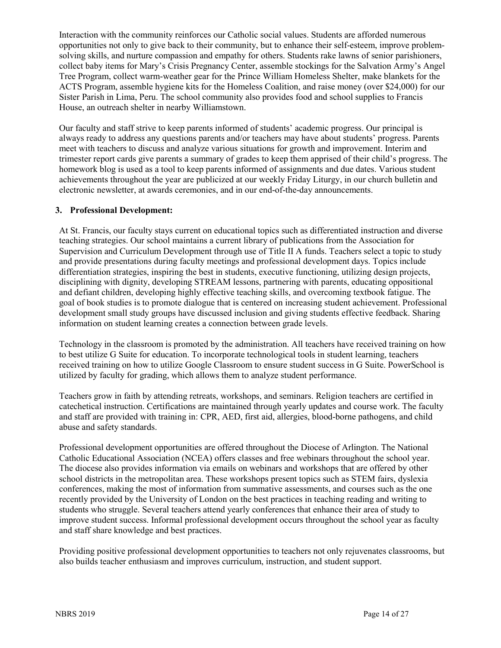Interaction with the community reinforces our Catholic social values. Students are afforded numerous opportunities not only to give back to their community, but to enhance their self-esteem, improve problemsolving skills, and nurture compassion and empathy for others. Students rake lawns of senior parishioners, collect baby items for Mary's Crisis Pregnancy Center, assemble stockings for the Salvation Army's Angel Tree Program, collect warm-weather gear for the Prince William Homeless Shelter, make blankets for the ACTS Program, assemble hygiene kits for the Homeless Coalition, and raise money (over \$24,000) for our Sister Parish in Lima, Peru. The school community also provides food and school supplies to Francis House, an outreach shelter in nearby Williamstown.

Our faculty and staff strive to keep parents informed of students' academic progress. Our principal is always ready to address any questions parents and/or teachers may have about students' progress. Parents meet with teachers to discuss and analyze various situations for growth and improvement. Interim and trimester report cards give parents a summary of grades to keep them apprised of their child's progress. The homework blog is used as a tool to keep parents informed of assignments and due dates. Various student achievements throughout the year are publicized at our weekly Friday Liturgy, in our church bulletin and electronic newsletter, at awards ceremonies, and in our end-of-the-day announcements.

#### **3. Professional Development:**

At St. Francis, our faculty stays current on educational topics such as differentiated instruction and diverse teaching strategies. Our school maintains a current library of publications from the Association for Supervision and Curriculum Development through use of Title II A funds. Teachers select a topic to study and provide presentations during faculty meetings and professional development days. Topics include differentiation strategies, inspiring the best in students, executive functioning, utilizing design projects, disciplining with dignity, developing STREAM lessons, partnering with parents, educating oppositional and defiant children, developing highly effective teaching skills, and overcoming textbook fatigue. The goal of book studies is to promote dialogue that is centered on increasing student achievement. Professional development small study groups have discussed inclusion and giving students effective feedback. Sharing information on student learning creates a connection between grade levels.

Technology in the classroom is promoted by the administration. All teachers have received training on how to best utilize G Suite for education. To incorporate technological tools in student learning, teachers received training on how to utilize Google Classroom to ensure student success in G Suite. PowerSchool is utilized by faculty for grading, which allows them to analyze student performance.

Teachers grow in faith by attending retreats, workshops, and seminars. Religion teachers are certified in catechetical instruction. Certifications are maintained through yearly updates and course work. The faculty and staff are provided with training in: CPR, AED, first aid, allergies, blood-borne pathogens, and child abuse and safety standards.

Professional development opportunities are offered throughout the Diocese of Arlington. The National Catholic Educational Association (NCEA) offers classes and free webinars throughout the school year. The diocese also provides information via emails on webinars and workshops that are offered by other school districts in the metropolitan area. These workshops present topics such as STEM fairs, dyslexia conferences, making the most of information from summative assessments, and courses such as the one recently provided by the University of London on the best practices in teaching reading and writing to students who struggle. Several teachers attend yearly conferences that enhance their area of study to improve student success. Informal professional development occurs throughout the school year as faculty and staff share knowledge and best practices.

Providing positive professional development opportunities to teachers not only rejuvenates classrooms, but also builds teacher enthusiasm and improves curriculum, instruction, and student support.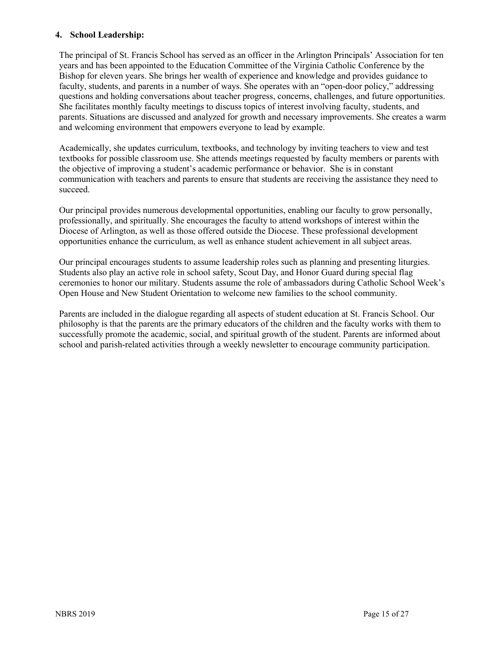#### **4. School Leadership:**

The principal of St. Francis School has served as an officer in the Arlington Principals' Association for ten years and has been appointed to the Education Committee of the Virginia Catholic Conference by the Bishop for eleven years. She brings her wealth of experience and knowledge and provides guidance to faculty, students, and parents in a number of ways. She operates with an "open-door policy," addressing questions and holding conversations about teacher progress, concerns, challenges, and future opportunities. She facilitates monthly faculty meetings to discuss topics of interest involving faculty, students, and parents. Situations are discussed and analyzed for growth and necessary improvements. She creates a warm and welcoming environment that empowers everyone to lead by example.

Academically, she updates curriculum, textbooks, and technology by inviting teachers to view and test textbooks for possible classroom use. She attends meetings requested by faculty members or parents with the objective of improving a student's academic performance or behavior. She is in constant communication with teachers and parents to ensure that students are receiving the assistance they need to succeed.

Our principal provides numerous developmental opportunities, enabling our faculty to grow personally, professionally, and spiritually. She encourages the faculty to attend workshops of interest within the Diocese of Arlington, as well as those offered outside the Diocese. These professional development opportunities enhance the curriculum, as well as enhance student achievement in all subject areas.

Our principal encourages students to assume leadership roles such as planning and presenting liturgies. Students also play an active role in school safety, Scout Day, and Honor Guard during special flag ceremonies to honor our military. Students assume the role of ambassadors during Catholic School Week's Open House and New Student Orientation to welcome new families to the school community.

Parents are included in the dialogue regarding all aspects of student education at St. Francis School. Our philosophy is that the parents are the primary educators of the children and the faculty works with them to successfully promote the academic, social, and spiritual growth of the student. Parents are informed about school and parish-related activities through a weekly newsletter to encourage community participation.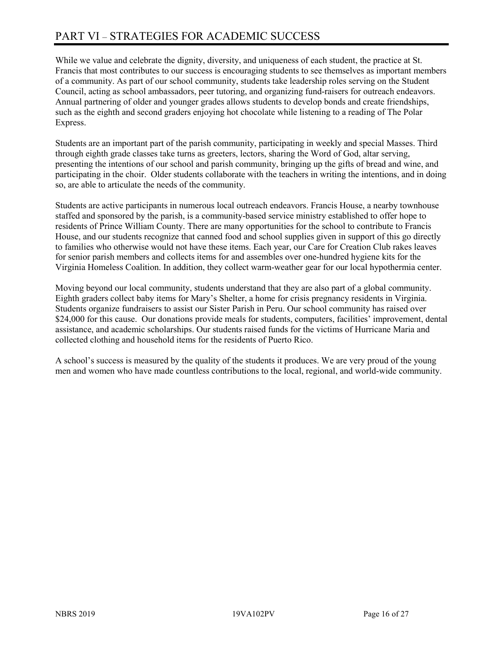While we value and celebrate the dignity, diversity, and uniqueness of each student, the practice at St. Francis that most contributes to our success is encouraging students to see themselves as important members of a community. As part of our school community, students take leadership roles serving on the Student Council, acting as school ambassadors, peer tutoring, and organizing fund-raisers for outreach endeavors. Annual partnering of older and younger grades allows students to develop bonds and create friendships, such as the eighth and second graders enjoying hot chocolate while listening to a reading of The Polar Express.

Students are an important part of the parish community, participating in weekly and special Masses. Third through eighth grade classes take turns as greeters, lectors, sharing the Word of God, altar serving, presenting the intentions of our school and parish community, bringing up the gifts of bread and wine, and participating in the choir. Older students collaborate with the teachers in writing the intentions, and in doing so, are able to articulate the needs of the community.

Students are active participants in numerous local outreach endeavors. Francis House, a nearby townhouse staffed and sponsored by the parish, is a community-based service ministry established to offer hope to residents of Prince William County. There are many opportunities for the school to contribute to Francis House, and our students recognize that canned food and school supplies given in support of this go directly to families who otherwise would not have these items. Each year, our Care for Creation Club rakes leaves for senior parish members and collects items for and assembles over one-hundred hygiene kits for the Virginia Homeless Coalition. In addition, they collect warm-weather gear for our local hypothermia center.

Moving beyond our local community, students understand that they are also part of a global community. Eighth graders collect baby items for Mary's Shelter, a home for crisis pregnancy residents in Virginia. Students organize fundraisers to assist our Sister Parish in Peru. Our school community has raised over \$24,000 for this cause. Our donations provide meals for students, computers, facilities' improvement, dental assistance, and academic scholarships. Our students raised funds for the victims of Hurricane Maria and collected clothing and household items for the residents of Puerto Rico.

A school's success is measured by the quality of the students it produces. We are very proud of the young men and women who have made countless contributions to the local, regional, and world-wide community.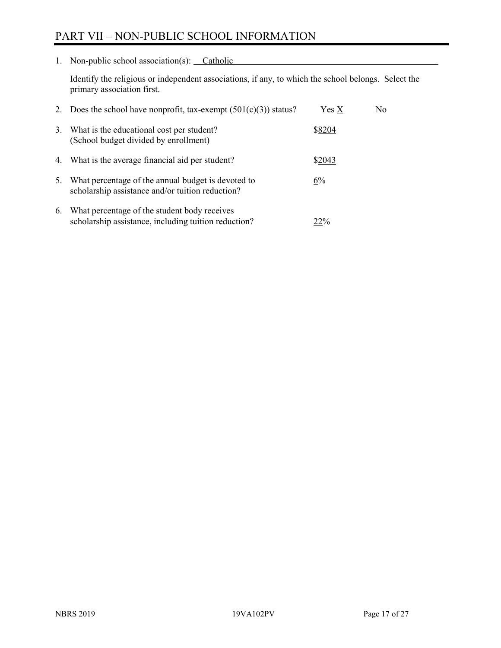# PART VII – NON-PUBLIC SCHOOL INFORMATION

1. Non-public school association(s): Catholic

Identify the religious or independent associations, if any, to which the school belongs. Select the primary association first.

| 2. | Does the school have nonprofit, tax-exempt $(501(c)(3))$ status?                                       | $Yes\ X$ | No. |
|----|--------------------------------------------------------------------------------------------------------|----------|-----|
| 3. | What is the educational cost per student?<br>(School budget divided by enrollment)                     | \$8204   |     |
|    | 4. What is the average financial aid per student?                                                      | \$2043   |     |
| 5. | What percentage of the annual budget is devoted to<br>scholarship assistance and/or tuition reduction? | 6%       |     |
| 6. | What percentage of the student body receives<br>scholarship assistance, including tuition reduction?   | 22%      |     |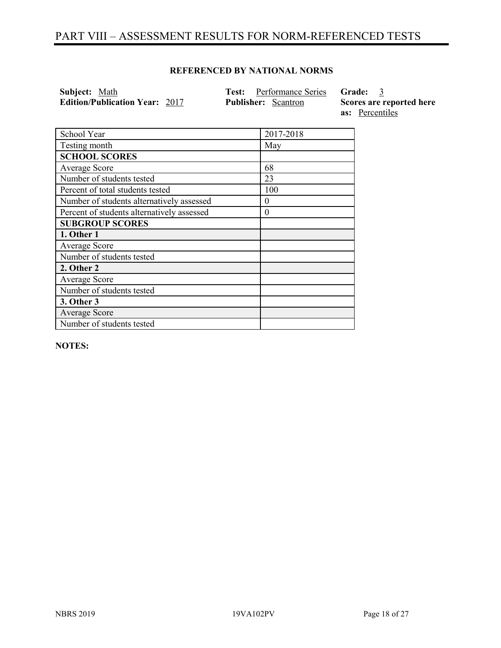# PART VIII – ASSESSMENT RESULTS FOR NORM-REFERENCED TESTS

#### **REFERENCED BY NATIONAL NORMS**

| Subject: Math                         | <b>Test:</b> Performance Series Grade: 3 |                          |
|---------------------------------------|------------------------------------------|--------------------------|
| <b>Edition/Publication Year: 2017</b> | <b>Publisher:</b> Scantron               | Scores are reported here |
|                                       |                                          | as: Percentiles          |

| School Year                                | 2017-2018 |
|--------------------------------------------|-----------|
| Testing month                              | May       |
| <b>SCHOOL SCORES</b>                       |           |
| Average Score                              | 68        |
| Number of students tested                  | 23        |
| Percent of total students tested           | 100       |
| Number of students alternatively assessed  | $\theta$  |
| Percent of students alternatively assessed | $\theta$  |
| <b>SUBGROUP SCORES</b>                     |           |
| 1. Other 1                                 |           |
| Average Score                              |           |
| Number of students tested                  |           |
| 2. Other 2                                 |           |
| Average Score                              |           |
| Number of students tested                  |           |
| 3. Other 3                                 |           |
| Average Score                              |           |
| Number of students tested                  |           |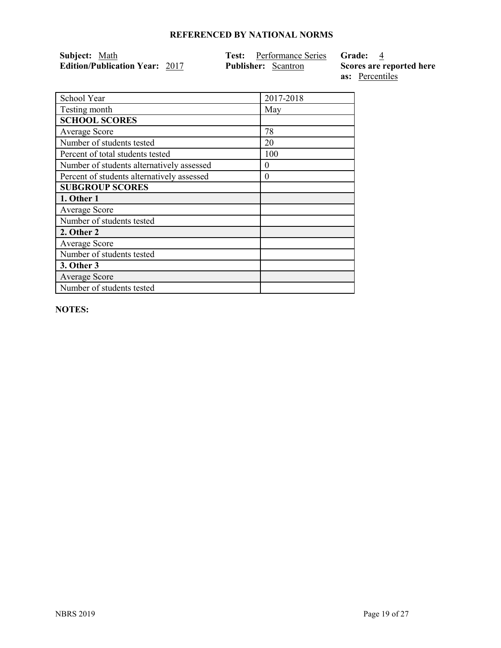| Subject: Math                         | <b>Test:</b> Performance Series <b>Grade:</b> 4 |                          |
|---------------------------------------|-------------------------------------------------|--------------------------|
| <b>Edition/Publication Year: 2017</b> | <b>Publisher:</b> Scantron                      | Scores are reported here |
|                                       |                                                 | as: Percentiles          |

| School Year                                | 2017-2018 |
|--------------------------------------------|-----------|
| Testing month                              | May       |
| <b>SCHOOL SCORES</b>                       |           |
| Average Score                              | 78        |
| Number of students tested                  | 20        |
| Percent of total students tested           | 100       |
| Number of students alternatively assessed  | $_{0}$    |
| Percent of students alternatively assessed | $\theta$  |
| <b>SUBGROUP SCORES</b>                     |           |
| 1. Other 1                                 |           |
| Average Score                              |           |
| Number of students tested                  |           |
| 2. Other 2                                 |           |
| Average Score                              |           |
| Number of students tested                  |           |
| 3. Other 3                                 |           |
| <b>Average Score</b>                       |           |
| Number of students tested                  |           |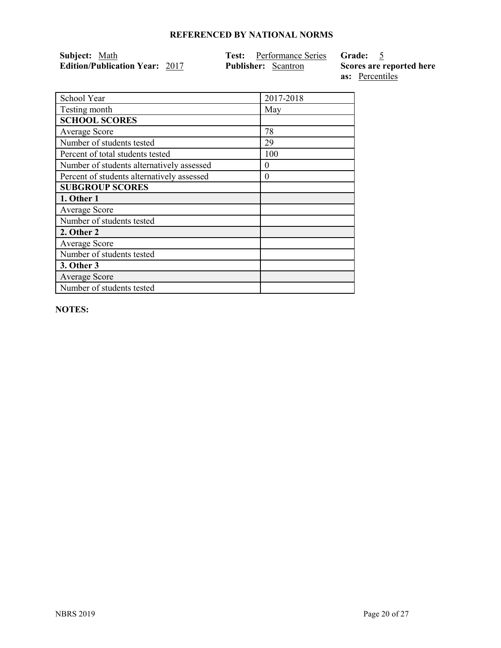| Subject: Math                         | <b>Test:</b> Performance Series Grade: 5 |                          |
|---------------------------------------|------------------------------------------|--------------------------|
| <b>Edition/Publication Year: 2017</b> | <b>Publisher:</b> Scantron               | Scores are reported here |
|                                       |                                          | as: Percentiles          |

| 2017-2018 |
|-----------|
| May       |
|           |
| 78        |
| 29        |
| 100       |
| $\theta$  |
| $\theta$  |
|           |
|           |
|           |
|           |
|           |
|           |
|           |
|           |
|           |
|           |
|           |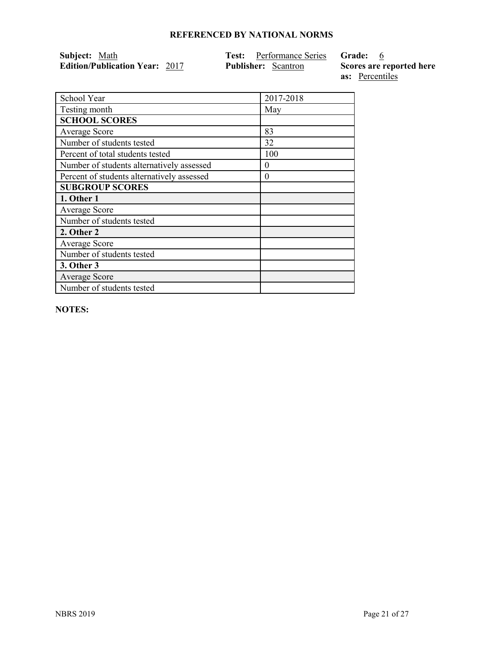| Subject: Math                         | <b>Test:</b> Performance Series Grade: |                          |
|---------------------------------------|----------------------------------------|--------------------------|
| <b>Edition/Publication Year: 2017</b> | <b>Publisher:</b> Scantron             | Scores are reported here |
|                                       |                                        | <b>as:</b> Percentiles   |

| School Year                                | 2017-2018 |
|--------------------------------------------|-----------|
| Testing month                              | May       |
| <b>SCHOOL SCORES</b>                       |           |
| <b>Average Score</b>                       | 83        |
| Number of students tested                  | 32        |
| Percent of total students tested           | 100       |
| Number of students alternatively assessed  | $_{0}$    |
| Percent of students alternatively assessed | $\theta$  |
| <b>SUBGROUP SCORES</b>                     |           |
| 1. Other 1                                 |           |
| Average Score                              |           |
| Number of students tested                  |           |
| 2. Other 2                                 |           |
| <b>Average Score</b>                       |           |
| Number of students tested                  |           |
| <b>3. Other 3</b>                          |           |
| <b>Average Score</b>                       |           |
| Number of students tested                  |           |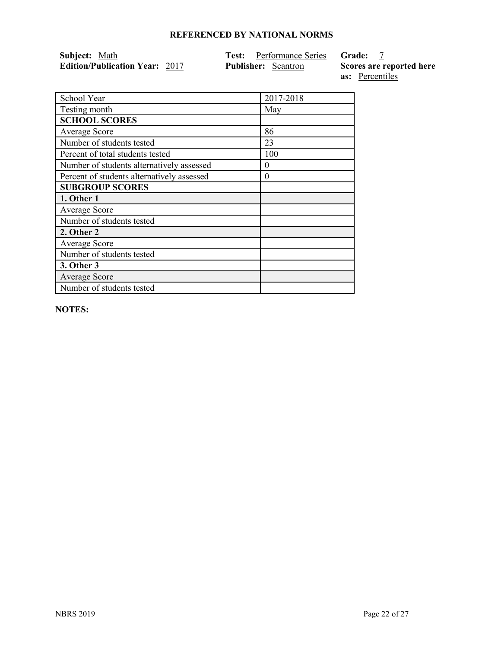| Subject: Math                         | <b>Test:</b> Performance Series Grade: |                          |
|---------------------------------------|----------------------------------------|--------------------------|
| <b>Edition/Publication Year: 2017</b> | <b>Publisher:</b> Scantron             | Scores are reported here |
|                                       |                                        | <b>as:</b> Percentiles   |

| School Year                                | 2017-2018 |
|--------------------------------------------|-----------|
| Testing month                              | May       |
| <b>SCHOOL SCORES</b>                       |           |
| Average Score                              | 86        |
| Number of students tested                  | 23        |
| Percent of total students tested           | 100       |
| Number of students alternatively assessed  | $_{0}$    |
| Percent of students alternatively assessed | $\theta$  |
| <b>SUBGROUP SCORES</b>                     |           |
| 1. Other 1                                 |           |
| Average Score                              |           |
| Number of students tested                  |           |
| 2. Other 2                                 |           |
| Average Score                              |           |
| Number of students tested                  |           |
| 3. Other 3                                 |           |
| <b>Average Score</b>                       |           |
| Number of students tested                  |           |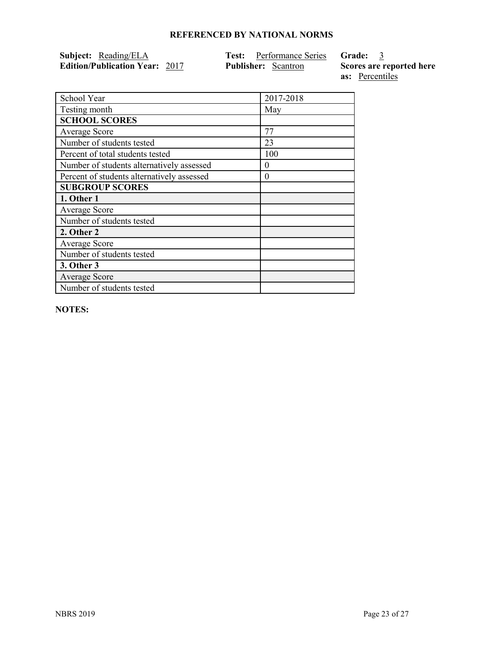| Subject: Reading/ELA                  | <b>Test:</b> Performance Series <b>Grade:</b> 3 |                          |
|---------------------------------------|-------------------------------------------------|--------------------------|
| <b>Edition/Publication Year: 2017</b> | <b>Publisher:</b> Scantron                      | Scores are reported here |
|                                       |                                                 | as: Percentiles          |

| School Year                                | 2017-2018 |
|--------------------------------------------|-----------|
| Testing month                              | May       |
| <b>SCHOOL SCORES</b>                       |           |
| Average Score                              | 77        |
| Number of students tested                  | 23        |
| Percent of total students tested           | 100       |
| Number of students alternatively assessed  | $\theta$  |
| Percent of students alternatively assessed | $\theta$  |
| <b>SUBGROUP SCORES</b>                     |           |
| 1. Other 1                                 |           |
| Average Score                              |           |
| Number of students tested                  |           |
| 2. Other 2                                 |           |
| Average Score                              |           |
| Number of students tested                  |           |
| <b>3. Other 3</b>                          |           |
| <b>Average Score</b>                       |           |
| Number of students tested                  |           |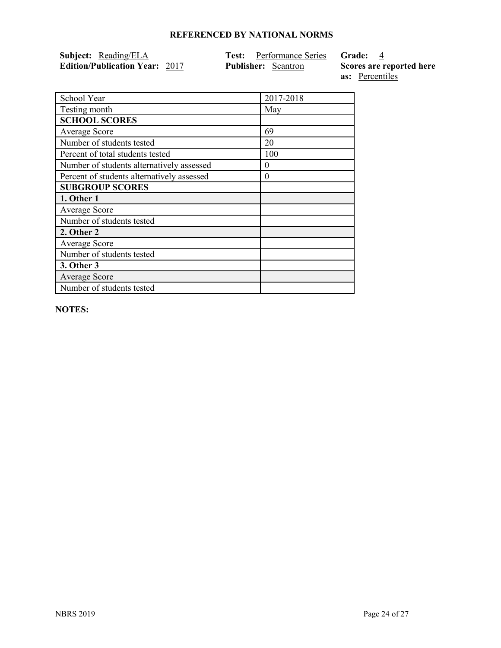| Subject: Reading/ELA                  | <b>Test:</b> Performance Series Grade: 4 |                          |
|---------------------------------------|------------------------------------------|--------------------------|
| <b>Edition/Publication Year: 2017</b> | <b>Publisher:</b> Scantron               | Scores are reported here |
|                                       |                                          | as: Percentiles          |

| School Year                                | 2017-2018 |
|--------------------------------------------|-----------|
| Testing month                              | May       |
| <b>SCHOOL SCORES</b>                       |           |
| <b>Average Score</b>                       | 69        |
| Number of students tested                  | 20        |
| Percent of total students tested           | 100       |
| Number of students alternatively assessed  | 0         |
| Percent of students alternatively assessed | $\theta$  |
| <b>SUBGROUP SCORES</b>                     |           |
| 1. Other 1                                 |           |
| <b>Average Score</b>                       |           |
| Number of students tested                  |           |
| 2. Other 2                                 |           |
| <b>Average Score</b>                       |           |
| Number of students tested                  |           |
| <b>3. Other 3</b>                          |           |
| <b>Average Score</b>                       |           |
| Number of students tested                  |           |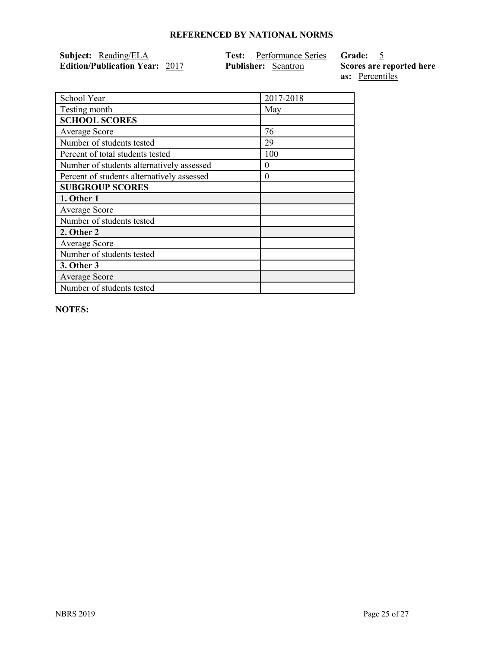| Subject: Reading/ELA                  | <b>Test:</b> Performance Series <b>Grade:</b> 5 |                          |
|---------------------------------------|-------------------------------------------------|--------------------------|
| <b>Edition/Publication Year: 2017</b> | <b>Publisher:</b> Scantron                      | Scores are reported here |
|                                       |                                                 | as: Percentiles          |

| School Year                                | 2017-2018 |
|--------------------------------------------|-----------|
| Testing month                              | May       |
| <b>SCHOOL SCORES</b>                       |           |
| <b>Average Score</b>                       | 76        |
| Number of students tested                  | 29        |
| Percent of total students tested           | 100       |
| Number of students alternatively assessed  | 0         |
| Percent of students alternatively assessed | $\theta$  |
| <b>SUBGROUP SCORES</b>                     |           |
| 1. Other 1                                 |           |
| <b>Average Score</b>                       |           |
| Number of students tested                  |           |
| 2. Other 2                                 |           |
| <b>Average Score</b>                       |           |
| Number of students tested                  |           |
| 3. Other 3                                 |           |
| <b>Average Score</b>                       |           |
| Number of students tested                  |           |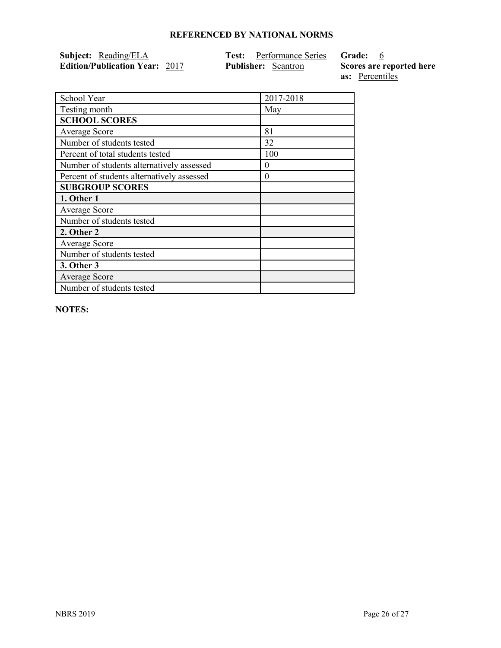| Subject: Reading/ELA                  | <b>Test:</b> Performance Series Grade: 6 |                          |
|---------------------------------------|------------------------------------------|--------------------------|
| <b>Edition/Publication Year: 2017</b> | <b>Publisher:</b> Scantron               | Scores are reported here |
|                                       |                                          | as: Percentiles          |

| School Year                                | 2017-2018 |
|--------------------------------------------|-----------|
| Testing month                              | May       |
| <b>SCHOOL SCORES</b>                       |           |
| Average Score                              | 81        |
| Number of students tested                  | 32        |
| Percent of total students tested           | 100       |
| Number of students alternatively assessed  | $\theta$  |
| Percent of students alternatively assessed | $\theta$  |
| <b>SUBGROUP SCORES</b>                     |           |
| 1. Other 1                                 |           |
| Average Score                              |           |
| Number of students tested                  |           |
| 2. Other 2                                 |           |
| Average Score                              |           |
| Number of students tested                  |           |
| 3. Other 3                                 |           |
| Average Score                              |           |
| Number of students tested                  |           |